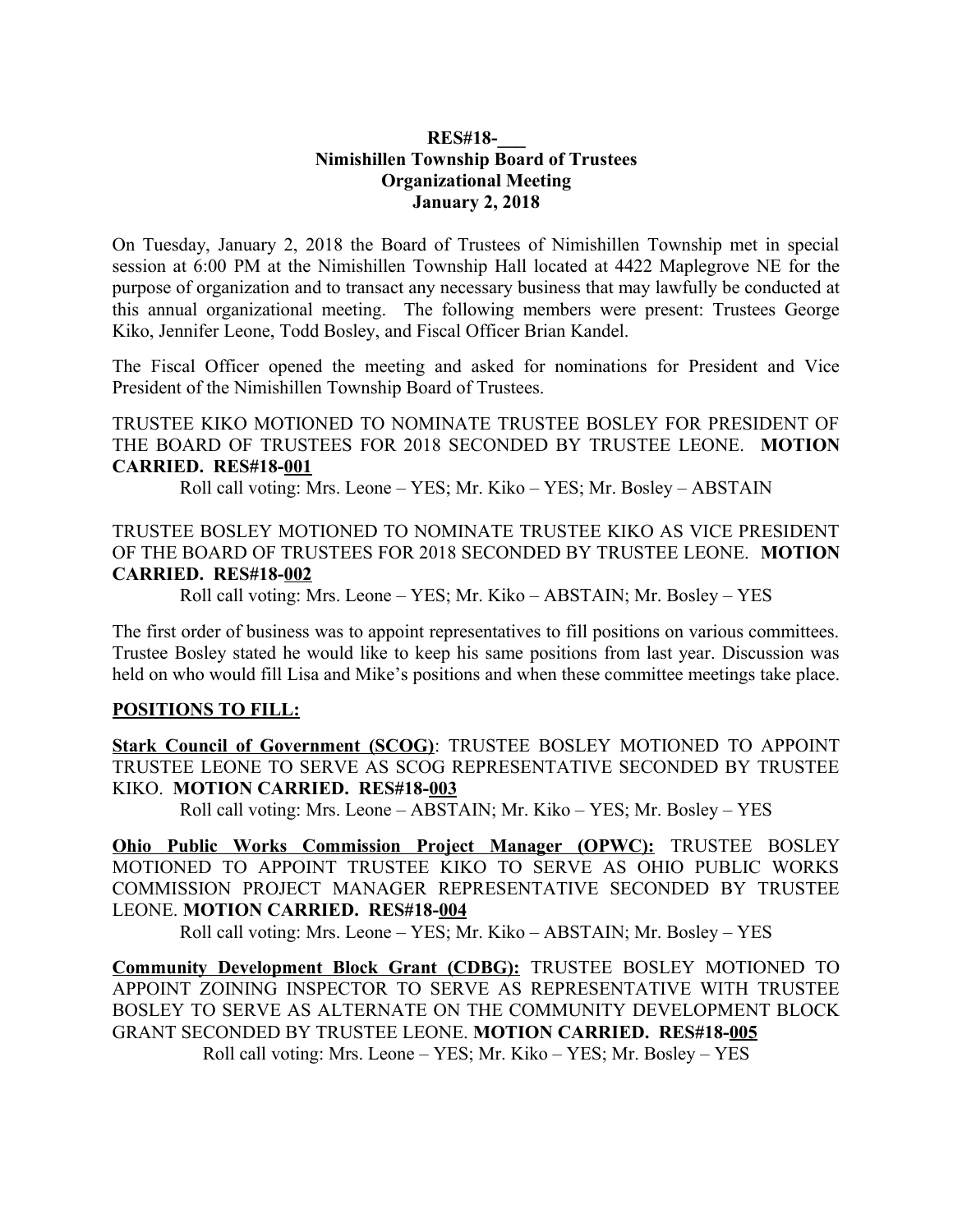## **RES#18-\_\_\_ Nimishillen Township Board of Trustees Organizational Meeting January 2, 2018**

On Tuesday, January 2, 2018 the Board of Trustees of Nimishillen Township met in special session at 6:00 PM at the Nimishillen Township Hall located at 4422 Maplegrove NE for the purpose of organization and to transact any necessary business that may lawfully be conducted at this annual organizational meeting. The following members were present: Trustees George Kiko, Jennifer Leone, Todd Bosley, and Fiscal Officer Brian Kandel.

The Fiscal Officer opened the meeting and asked for nominations for President and Vice President of the Nimishillen Township Board of Trustees.

TRUSTEE KIKO MOTIONED TO NOMINATE TRUSTEE BOSLEY FOR PRESIDENT OF THE BOARD OF TRUSTEES FOR 2018 SECONDED BY TRUSTEE LEONE. **MOTION CARRIED. RES#18-001**

Roll call voting: Mrs. Leone – YES; Mr. Kiko – YES; Mr. Bosley – ABSTAIN

TRUSTEE BOSLEY MOTIONED TO NOMINATE TRUSTEE KIKO AS VICE PRESIDENT OF THE BOARD OF TRUSTEES FOR 2018 SECONDED BY TRUSTEE LEONE. **MOTION CARRIED. RES#18-002**

Roll call voting: Mrs. Leone – YES; Mr. Kiko – ABSTAIN; Mr. Bosley – YES

The first order of business was to appoint representatives to fill positions on various committees. Trustee Bosley stated he would like to keep his same positions from last year. Discussion was held on who would fill Lisa and Mike's positions and when these committee meetings take place.

## **POSITIONS TO FILL:**

**Stark Council of Government (SCOG)**: TRUSTEE BOSLEY MOTIONED TO APPOINT TRUSTEE LEONE TO SERVE AS SCOG REPRESENTATIVE SECONDED BY TRUSTEE KIKO. **MOTION CARRIED. RES#18-003**

Roll call voting: Mrs. Leone – ABSTAIN; Mr. Kiko – YES; Mr. Bosley – YES

**Ohio Public Works Commission Project Manager (OPWC):** TRUSTEE BOSLEY MOTIONED TO APPOINT TRUSTEE KIKO TO SERVE AS OHIO PUBLIC WORKS COMMISSION PROJECT MANAGER REPRESENTATIVE SECONDED BY TRUSTEE LEONE. **MOTION CARRIED. RES#18-004**

Roll call voting: Mrs. Leone – YES; Mr. Kiko – ABSTAIN; Mr. Bosley – YES

**Community Development Block Grant (CDBG):** TRUSTEE BOSLEY MOTIONED TO APPOINT ZOINING INSPECTOR TO SERVE AS REPRESENTATIVE WITH TRUSTEE BOSLEY TO SERVE AS ALTERNATE ON THE COMMUNITY DEVELOPMENT BLOCK GRANT SECONDED BY TRUSTEE LEONE. **MOTION CARRIED. RES#18-005** Roll call voting: Mrs. Leone – YES; Mr. Kiko – YES; Mr. Bosley – YES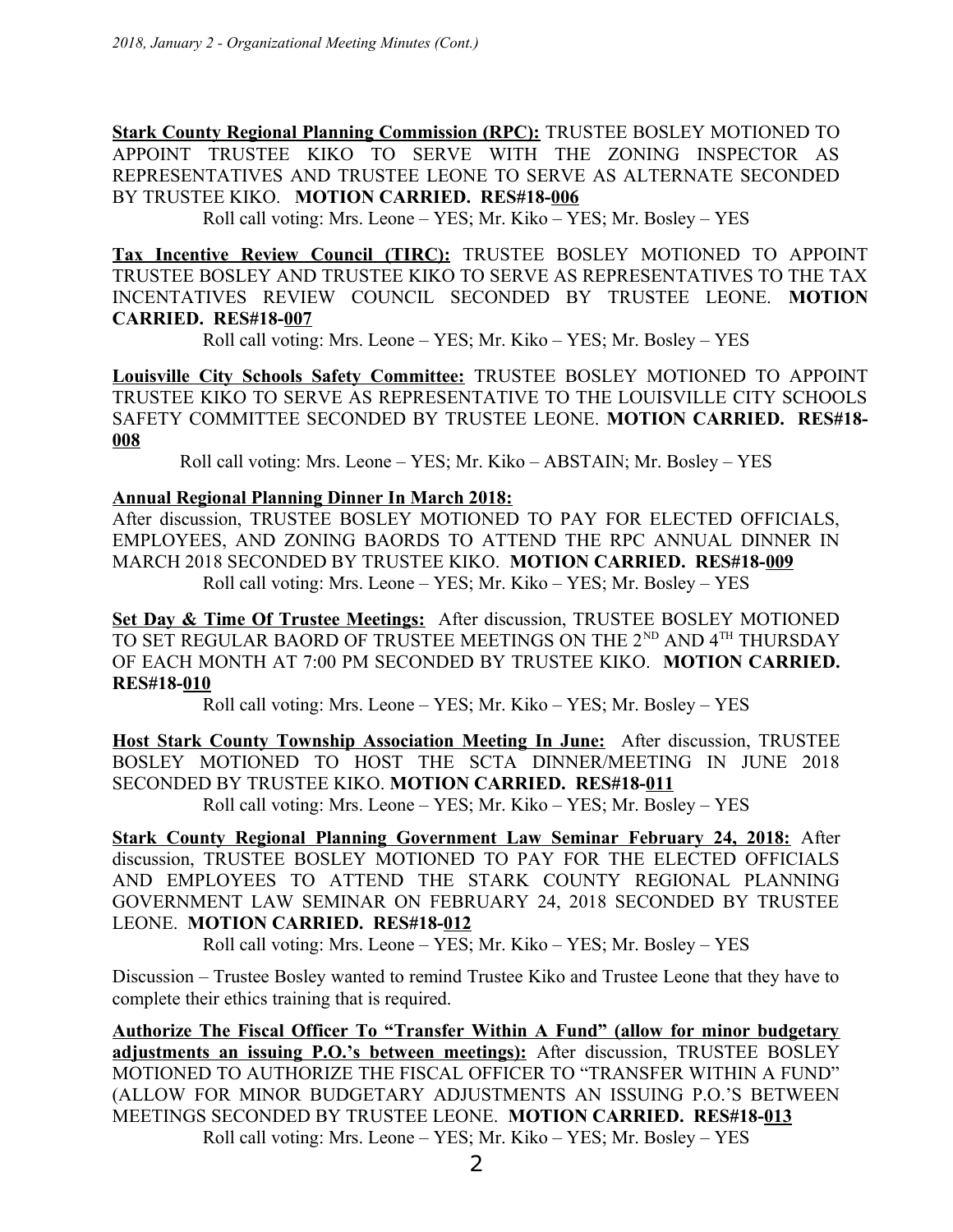**Stark County Regional Planning Commission (RPC):** TRUSTEE BOSLEY MOTIONED TO APPOINT TRUSTEE KIKO TO SERVE WITH THE ZONING INSPECTOR AS REPRESENTATIVES AND TRUSTEE LEONE TO SERVE AS ALTERNATE SECONDED BY TRUSTEE KIKO. **MOTION CARRIED. RES#18-006**

Roll call voting: Mrs. Leone – YES; Mr. Kiko – YES; Mr. Bosley – YES

**Tax Incentive Review Council (TIRC):** TRUSTEE BOSLEY MOTIONED TO APPOINT TRUSTEE BOSLEY AND TRUSTEE KIKO TO SERVE AS REPRESENTATIVES TO THE TAX INCENTATIVES REVIEW COUNCIL SECONDED BY TRUSTEE LEONE. **MOTION CARRIED. RES#18-007**

Roll call voting: Mrs. Leone – YES; Mr. Kiko – YES; Mr. Bosley – YES

**Louisville City Schools Safety Committee:** TRUSTEE BOSLEY MOTIONED TO APPOINT TRUSTEE KIKO TO SERVE AS REPRESENTATIVE TO THE LOUISVILLE CITY SCHOOLS SAFETY COMMITTEE SECONDED BY TRUSTEE LEONE. **MOTION CARRIED. RES#18- 008**

Roll call voting: Mrs. Leone – YES; Mr. Kiko – ABSTAIN; Mr. Bosley – YES

## **Annual Regional Planning Dinner In March 2018:**

After discussion, TRUSTEE BOSLEY MOTIONED TO PAY FOR ELECTED OFFICIALS, EMPLOYEES, AND ZONING BAORDS TO ATTEND THE RPC ANNUAL DINNER IN MARCH 2018 SECONDED BY TRUSTEE KIKO. **MOTION CARRIED. RES#18-009** Roll call voting: Mrs. Leone – YES; Mr. Kiko – YES; Mr. Bosley – YES

**Set Day & Time Of Trustee Meetings:** After discussion, TRUSTEE BOSLEY MOTIONED TO SET REGULAR BAORD OF TRUSTEE MEETINGS ON THE 2<sup>ND</sup> AND 4<sup>TH</sup> THURSDAY OF EACH MONTH AT 7:00 PM SECONDED BY TRUSTEE KIKO. **MOTION CARRIED. RES#18-010**

Roll call voting: Mrs. Leone – YES; Mr. Kiko – YES; Mr. Bosley – YES

**Host Stark County Township Association Meeting In June:** After discussion, TRUSTEE BOSLEY MOTIONED TO HOST THE SCTA DINNER/MEETING IN JUNE 2018 SECONDED BY TRUSTEE KIKO. **MOTION CARRIED. RES#18-011**

Roll call voting: Mrs. Leone – YES; Mr. Kiko – YES; Mr. Bosley – YES

**Stark County Regional Planning Government Law Seminar February 24, 2018:** After discussion, TRUSTEE BOSLEY MOTIONED TO PAY FOR THE ELECTED OFFICIALS AND EMPLOYEES TO ATTEND THE STARK COUNTY REGIONAL PLANNING GOVERNMENT LAW SEMINAR ON FEBRUARY 24, 2018 SECONDED BY TRUSTEE LEONE. **MOTION CARRIED. RES#18-012**

Roll call voting: Mrs. Leone – YES; Mr. Kiko – YES; Mr. Bosley – YES

Discussion – Trustee Bosley wanted to remind Trustee Kiko and Trustee Leone that they have to complete their ethics training that is required.

**Authorize The Fiscal Officer To "Transfer Within A Fund" (allow for minor budgetary adjustments an issuing P.O.'s between meetings):** After discussion, TRUSTEE BOSLEY MOTIONED TO AUTHORIZE THE FISCAL OFFICER TO "TRANSFER WITHIN A FUND" (ALLOW FOR MINOR BUDGETARY ADJUSTMENTS AN ISSUING P.O.'S BETWEEN MEETINGS SECONDED BY TRUSTEE LEONE. **MOTION CARRIED. RES#18-013** Roll call voting: Mrs. Leone – YES; Mr. Kiko – YES; Mr. Bosley – YES